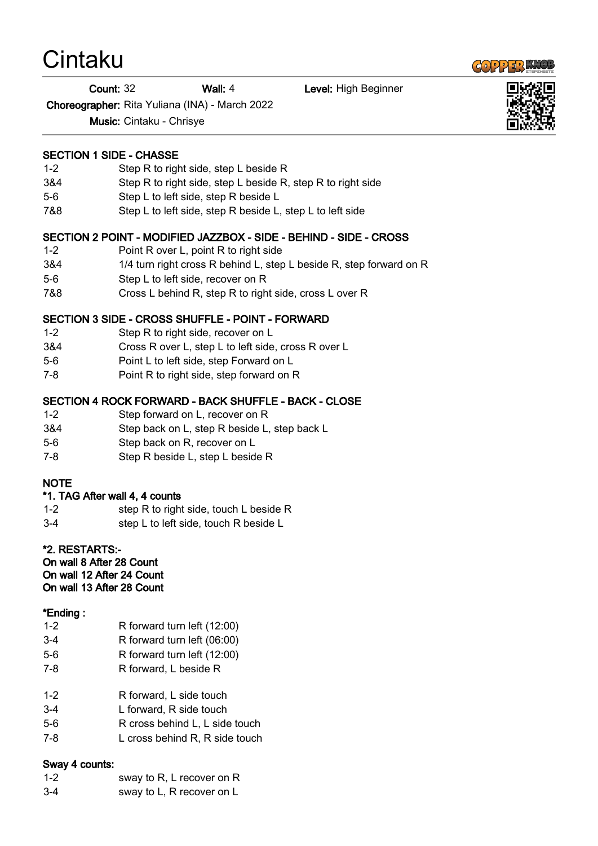# Cintaku

Count: 32 Wall: 4 Level: High Beginner

Choreographer: Rita Yuliana (INA) - March 2022

Music: Cintaku - Chrisye

#### SECTION 1 SIDE - CHASSE

- 1-2 Step R to right side, step L beside R
- 3&4 Step R to right side, step L beside R, step R to right side
- 5-6 Step L to left side, step R beside L
- 7&8 Step L to left side, step R beside L, step L to left side

#### SECTION 2 POINT - MODIFIED JAZZBOX - SIDE - BEHIND - SIDE - CROSS

- 1-2 Point R over L, point R to right side
- 3&4 1/4 turn right cross R behind L, step L beside R, step forward on R
- 5-6 Step L to left side, recover on R
- 7&8 Cross L behind R, step R to right side, cross L over R

## SECTION 3 SIDE - CROSS SHUFFLE - POINT - FORWARD

- 1-2 Step R to right side, recover on L
- 3&4 Cross R over L, step L to left side, cross R over L
- 5-6 Point L to left side, step Forward on L
- 7-8 Point R to right side, step forward on R

## SECTION 4 ROCK FORWARD - BACK SHUFFLE - BACK - CLOSE

- 1-2 Step forward on L, recover on R
- 3&4 Step back on L, step R beside L, step back L
- 5-6 Step back on R, recover on L
- 7-8 Step R beside L, step L beside R

## **NOTE**

## \*1. TAG After wall 4, 4 counts

- 1-2 step R to right side, touch L beside R
- 3-4 step L to left side, touch R beside L

## \*2. RESTARTS:-

On wall 8 After 28 Count On wall 12 After 24 Count On wall 13 After 28 Count

## \*Ending :

- 1-2 R forward turn left (12:00)
- 3-4 R forward turn left (06:00)
- 5-6 R forward turn left (12:00)
- 7-8 R forward, L beside R
- 1-2 R forward, L side touch
- 3-4 L forward, R side touch
- 5-6 R cross behind L, L side touch
- 7-8 L cross behind R, R side touch

## Sway 4 counts:

- 1-2 sway to R, L recover on R
- 3-4 sway to L, R recover on L